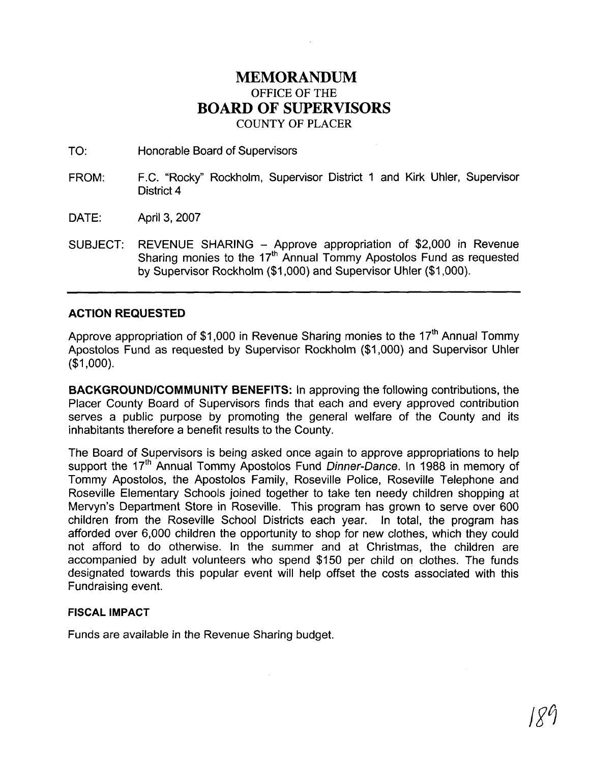### **MEMORANDUM**  OFFICE OF THE **BOARD OF SUPERVISORS**  COUNTY OF PLACER

TO: Honorable Board of Supervisors

- FROM: F.C. "Rocky" Rockholm, Supervisor District 1 and Kirk Uhler, Supervisor District **4**
- DATE: April 3,2007
- SUBJECT: REVENUE SHARING Approve appropriation of \$2,000 in Revenue Sharing monies to the 17<sup>th</sup> Annual Tommy Apostolos Fund as requested by Supervisor Rockholm (\$1,000) and Supervisor Uhler (\$1,000).

#### **ACTION REQUESTED**

Approve appropriation of \$1,000 in Revenue Sharing monies to the  $17<sup>th</sup>$  Annual Tommy Apostolos Fund as requested by Supervisor Rockholm (\$1,000) and Supervisor Uhler (\$1,000).

**BACKGROUNDICOMMUNITY BENEFITS:** In approving the following contributions, the Placer County Board of Supervisors finds that each and every approved contribution serves a public purpose by promoting the general welfare of the County and its inhabitants therefore a benefit results to the County.

The Board of Supervisors is being asked once again to approve appropriations to help support the 17<sup>th</sup> Annual Tommy Apostolos Fund Dinner-Dance. In 1988 in memory of Tommy Apostolos, the Apostolos Family, Roseville Police, Roseville Telephone and Roseville Elementary Schools joined together to take ten needy children shopping at Mervyn's Department Store in Roseville. This program has grown to serve over 600 children from the Roseville School Districts each year. In total, the program has afforded over 6,000 children the opportunity to shop for new clothes, which they could not afford to do otherwise. In the summer and at Christmas, the children are accompanied by adult volunteers who spend \$150 per child on clothes. The funds designated towards this popular event will help offset the costs associated with this Fundraising event.

#### **FISCAL IMPACT**

Funds are available in the Revenue Sharing budget.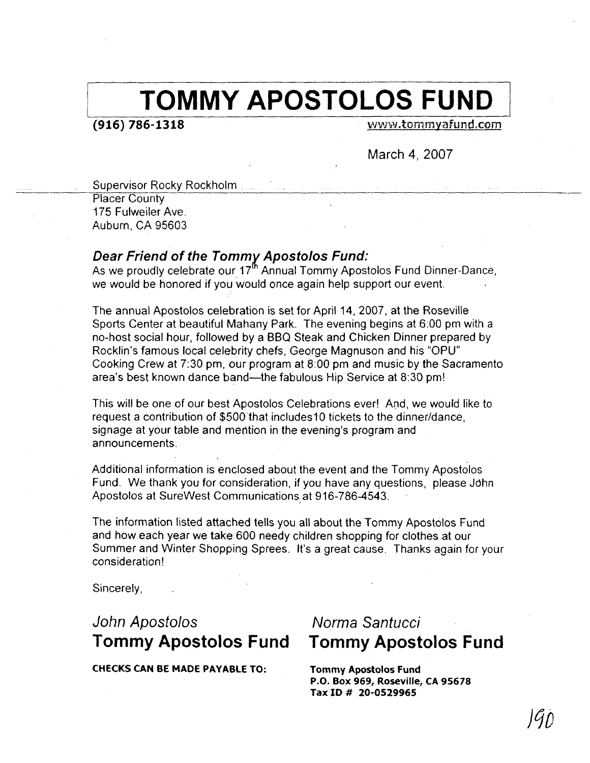## **TOMMY APOSTOLOS FUND**

 $(916) 786 - 1318$ 

www.tommyafund.com

March **4,** 2007

Supervisor Rocky Rockholm

Placer County 175 Fulweiler Ave. Auburn, CA 95603

#### **Dear Friend of the Tommx Apostolos Fund:**

As we proudly celebrate our 17<sup>th</sup> Annual Tommy Apostolos Fund Dinner-Dance, we would be honored if you would once again help support our event.

The annual Apostolos celebration is set for April 14, 2007, at the Roseville Sports Center at beautiful Mahany Park. The evening begins at 6:00 pm with a no-host social hour, followed by a BBQ Steak and Chicken Dinner prepared by Rocklin's famous local celebrity chefs, George Magnuson and his "OPU" Cooking Crew at 7:30 pm, our program at 8:00 pm and music by the Sacramento area's best known dance band—the fabulous Hip Service at 8:30 pm!

This will be one of our best Apostolos Celebrations ever! And, we would like to request a contribution of \$500 that includes10 tickets to the dinner/dance, signage at your table and mention in the evening's program and announcements.

Additional information is enclosed about the event and the Tommy Apostolos Fund. We thank you for consideration, if you have any questions, please Jdhn Apostolos at SureWest Communications at 916-786-4543.

The information listed attached tells you all about the Tommy Apostolos Fund and how each year we take 600 needy children shopping for clothes at our Summer and Winter Shopping Sprees. It's a great cause. Thanks again for your consideration!

Sincerely,

### John Apostolos Norma Santucci **Tommy Apostolos Fund Tommy Apostolos Fund**

**CHECKS CAN BE MADE PAYABLE TO: Tommy Apostolos Fund** 

**P.O. Box 969, Roseville, CA 95678 Tax ID** # **20-0529965**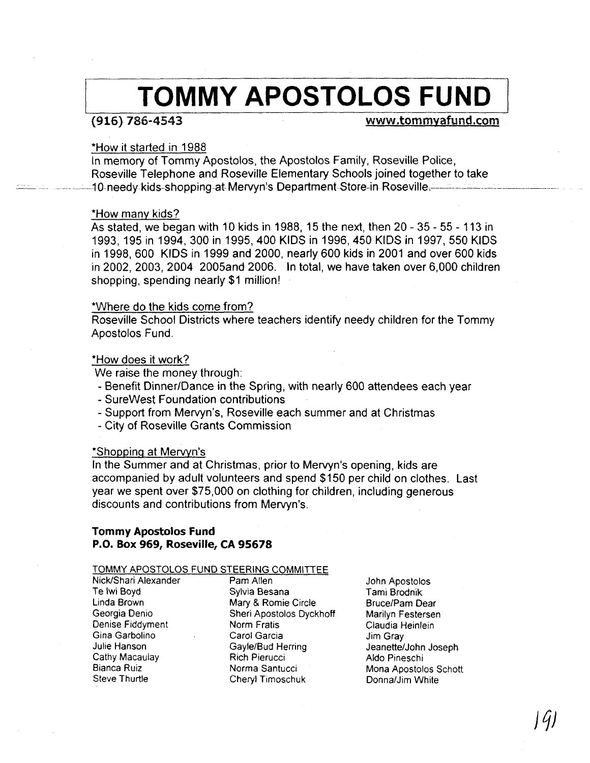# **TOMMY APOSTOLOS FUND**

#### $(916) 786 - 4543$

#### www.tommyafund.com

#### \*How it started in 1988

In memory of Tommy Apostolos, the Apostolos Family, Roseville Police, Roseville Telephone and Roseville Elementary Schools joined together to take - ..<br>- 10-needy kids-shopping at-Mervyn's Department Store-in Roseville.

#### \*How many kids?

As stated, we began with 10 kids in 1988, 15 the next, then 20 - 35 - 55 - 113 in 1993,195 in 1994,300 in 1995,400 KlDS in 1996,450 KlDS in 1997,550 KlDS in 1998,600 KlDS in 1999 and 2000, nearly 600 kids in 2001 and over 600 kids in 2002, 2003, 2004 2005and 2006. In total, we have taken over 6,000 children shopping, spending nearly \$1 million!

#### 'Where do the kids come from?

Roseville School Districts where teachers identify needy children for the Tommy Apostolos Fund.

#### \*How does it work?

We raise the money through:

- Benefit Dinner/Dance in the Spring, with nearly 600 attendees each year
- SureWest Foundation contributions
- Support from Mervyn's, Roseville each summer and at Christmas
- City of Roseville Grants Commission

#### \*Shoppinq at Merwn's

In the Summer and at Christmas, prior to Mervyn's opening, kids are accompanied by adult volunteers and spend \$150 per child on clothes. Last year we spent over \$75,000 on clothing for children, including generous discounts and contributions from Mervyn's.

#### **Tommy Apostolos Fund P.O. Box 969, Roseville, CA 95678**

#### TOMMY APOSTOLOS FUND STEERING COMMITTEE

Nick/Shari Alexander Pam Allen Te Iwi Boyd Sylvia Besana Denise Fiddyment Norm Fratis Gina Garbolino Carol Garcia Cathy Macaulay<br>Bianca Ruiz Bianca Ruiz Norma Santucci

Linda Brown Mary **8** Romie Circle Sheri Apostolos Dyckhoff Gayle/Bud Herring<br>Rich Pierucci Cheryl Timoschuk

John Apostolos Tami Brodnik Bruce/Pam Dear Marilyn Festersen Claudia Heinlein Jim Gray Jeanette/John Joseph Aldo Pineschi Mona Apostolos Schott Donna/Jim White